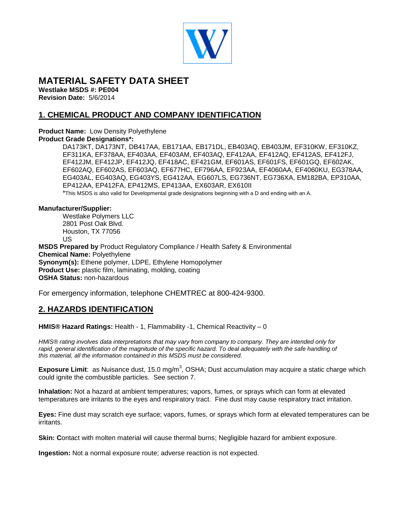

# **MATERIAL SAFETY DATA SHEET**

**Westlake MSDS #: PE004 Revision Date:** 5/6/2014

# **1. CHEMICAL PRODUCT AND COMPANY IDENTIFICATION**

#### **Product Name:** Low Density Polyethylene **Product Grade Designations\*:**

DA173KT, DA173NT, DB417AA, EB171AA, EB171DL, EB403AQ, EB403JM, EF310KW, EF310KZ, EF311KA, EF378AA, EF403AA, EF403AM, EF403AQ, EF412AA, EF412AQ, EF412AS, EF412FJ, EF412JM, EF412JP, EF412JQ, EF418AC, EF421GM, EF601AS, EF601FS, EF601GQ, EF602AK, EF602AQ, EF602AS, EF603AQ, EF677HC, EF796AA, EF923AA, EF4060AA, EF4060KU, EG378AA, EG403AL, EG403AQ, EG403YS, EG412AA, EG607LS, EG736NT, EG736XA, EM182BA, EP310AA, EP412AA, EP412FA, EP412MS, EP413AA, EX603AR, EX610II

\*This MSDS is also valid for Developmental grade designations beginning with a D and ending with an A.

#### **Manufacturer/Supplier:**

Westlake Polymers LLC 2801 Post Oak Blvd. Houston, TX 77056 US

**MSDS Prepared by** Product Regulatory Compliance / Health Safety & Environmental **Chemical Name:** Polyethylene **Synonym(s):** Ethene polymer, LDPE, Ethylene Homopolymer **Product Use:** plastic film, laminating, molding, coating **OSHA Status:** non-hazardous

For emergency information, telephone CHEMTREC at 800-424-9300.

# **2. HAZARDS IDENTIFICATION**

**HMIS® Hazard Ratings:** Health - 1, Flammability -1, Chemical Reactivity – 0

*HMIS® rating involves data interpretations that may vary from company to company. They are intended only for rapid, general identification of the magnitude of the specific hazard. To deal adequately with the safe handling of this material, all the information contained in this MSDS must be considered.*

Exposure Limit: as Nuisance dust, 15.0 mg/m<sup>3</sup>, OSHA; Dust accumulation may acquire a static charge which could ignite the combustible particles. See section 7.

**Inhalation:** Not a hazard at ambient temperatures; vapors, fumes, or sprays which can form at elevated temperatures are irritants to the eyes and respiratory tract. Fine dust may cause respiratory tract irritation.

**Eyes:** Fine dust may scratch eye surface; vapors, fumes, or sprays which form at elevated temperatures can be irritants.

**Skin: C**ontact with molten material will cause thermal burns; Negligible hazard for ambient exposure.

**Ingestion:** Not a normal exposure route; adverse reaction is not expected.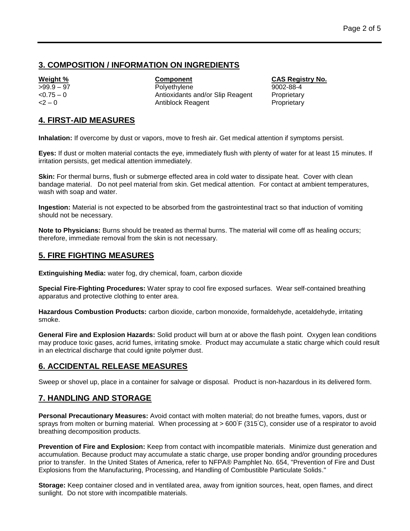## **3. COMPOSITION / INFORMATION ON INGREDIENTS**

**Weight % Component CAS Registry No.** >99.9 – 97 Polyethylene 9002-88-4 <0.75 – 0 Antioxidants and/or Slip Reagent Proprietary <2 - 0 Antiblock Reagent Proprietary

## **4. FIRST-AID MEASURES**

**Inhalation:** If overcome by dust or vapors, move to fresh air. Get medical attention if symptoms persist.

**Eyes:** If dust or molten material contacts the eye, immediately flush with plenty of water for at least 15 minutes. If irritation persists, get medical attention immediately.

**Skin:** For thermal burns, flush or submerge effected area in cold water to dissipate heat. Cover with clean bandage material. Do not peel material from skin. Get medical attention. For contact at ambient temperatures, wash with soap and water.

**Ingestion:** Material is not expected to be absorbed from the gastrointestinal tract so that induction of vomiting should not be necessary.

**Note to Physicians:** Burns should be treated as thermal burns. The material will come off as healing occurs; therefore, immediate removal from the skin is not necessary.

# **5. FIRE FIGHTING MEASURES**

**Extinguishing Media:** water fog, dry chemical, foam, carbon dioxide

**Special Fire-Fighting Procedures:** Water spray to cool fire exposed surfaces. Wear self-contained breathing apparatus and protective clothing to enter area.

**Hazardous Combustion Products:** carbon dioxide, carbon monoxide, formaldehyde, acetaldehyde, irritating smoke.

**General Fire and Explosion Hazards:** Solid product will burn at or above the flash point. Oxygen lean conditions may produce toxic gases, acrid fumes, irritating smoke. Product may accumulate a static charge which could result in an electrical discharge that could ignite polymer dust.

# **6. ACCIDENTAL RELEASE MEASURES**

Sweep or shovel up, place in a container for salvage or disposal. Product is non-hazardous in its delivered form.

# **7. HANDLING AND STORAGE**

**Personal Precautionary Measures:** Avoid contact with molten material; do not breathe fumes, vapors, dust or sprays from molten or burning material. When processing at > 600°F (315°C), consider use of a respirator to avoid breathing decomposition products.

**Prevention of Fire and Explosion:** Keep from contact with incompatible materials. Minimize dust generation and accumulation. Because product may accumulate a static charge, use proper bonding and/or grounding procedures prior to transfer. In the United States of America, refer to NFPA® Pamphlet No. 654, "Prevention of Fire and Dust Explosions from the Manufacturing, Processing, and Handling of Combustible Particulate Solids."

**Storage:** Keep container closed and in ventilated area, away from ignition sources, heat, open flames, and direct sunlight. Do not store with incompatible materials.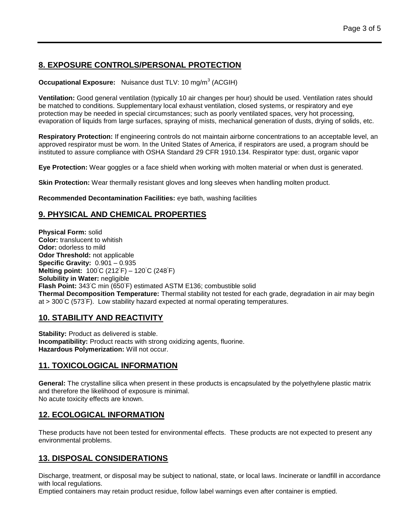# **8. EXPOSURE CONTROLS/PERSONAL PROTECTION**

#### **Occupational Exposure:** Nuisance dust TLV: 10 mg/m<sup>3</sup> (ACGIH)

**Ventilation:** Good general ventilation (typically 10 air changes per hour) should be used. Ventilation rates should be matched to conditions. Supplementary local exhaust ventilation, closed systems, or respiratory and eye protection may be needed in special circumstances; such as poorly ventilated spaces, very hot processing, evaporation of liquids from large surfaces, spraying of mists, mechanical generation of dusts, drying of solids, etc.

**Respiratory Protection:** If engineering controls do not maintain airborne concentrations to an acceptable level, an approved respirator must be worn. In the United States of America, if respirators are used, a program should be instituted to assure compliance with OSHA Standard 29 CFR 1910.134. Respirator type: dust, organic vapor

**Eye Protection:** Wear goggles or a face shield when working with molten material or when dust is generated.

**Skin Protection:** Wear thermally resistant gloves and long sleeves when handling molten product.

**Recommended Decontamination Facilities:** eye bath, washing facilities

## **9. PHYSICAL AND CHEMICAL PROPERTIES**

**Physical Form:** solid **Color:** translucent to whitish **Odor:** odorless to mild **Odor Threshold:** not applicable **Specific Gravity:** 0.901 – 0.935 **Melting point:** 100℃ (212<sup>°</sup>F) – 120℃ (248<sup>°</sup>F) **Solubility in Water:** negligible **Flash Point:** 343◦C min (650◦ F) estimated ASTM E136; combustible solid **Thermal Decomposition Temperature:** Thermal stability not tested for each grade, degradation in air may begin at > 300◦C (573◦ F). Low stability hazard expected at normal operating temperatures.

## **10. STABILITY AND REACTIVITY**

**Stability: Product as delivered is stable. Incompatibility:** Product reacts with strong oxidizing agents, fluorine. **Hazardous Polymerization:** Will not occur.

### **11. TOXICOLOGICAL INFORMATION**

**General:** The crystalline silica when present in these products is encapsulated by the polyethylene plastic matrix and therefore the likelihood of exposure is minimal. No acute toxicity effects are known.

## **12. ECOLOGICAL INFORMATION**

These products have not been tested for environmental effects. These products are not expected to present any environmental problems.

# **13. DISPOSAL CONSIDERATIONS**

Discharge, treatment, or disposal may be subject to national, state, or local laws. Incinerate or landfill in accordance with local regulations.

Emptied containers may retain product residue, follow label warnings even after container is emptied.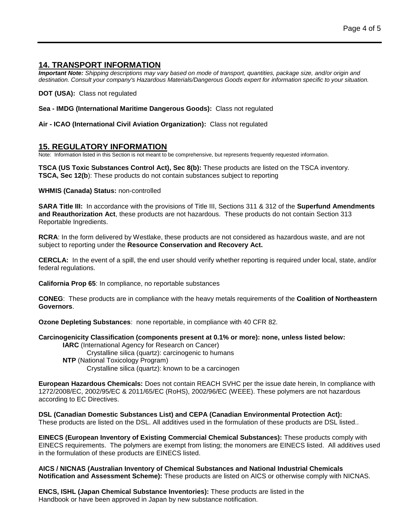#### **14. TRANSPORT INFORMATION**

*Important Note: Shipping descriptions may vary based on mode of transport, quantities, package size, and/or origin and destination. Consult your company's Hazardous Materials/Dangerous Goods expert for information specific to your situation.*

**DOT (USA):** Class not regulated

**Sea - IMDG (International Maritime Dangerous Goods):** Class not regulated

**Air - ICAO (International Civil Aviation Organization):** Class not regulated

### **15. REGULATORY INFORMATION**

Note: Information listed in this Section is not meant to be comprehensive, but represents frequently requested information.

**TSCA (US Toxic Substances Control Act), Sec 8(b):** These products are listed on the TSCA inventory. **TSCA, Sec 12(b**): These products do not contain substances subject to reporting

**WHMIS (Canada) Status:** non-controlled

**SARA Title III:** In accordance with the provisions of Title III, Sections 311 & 312 of the **Superfund Amendments and Reauthorization Act**, these products are not hazardous. These products do not contain Section 313 Reportable Ingredients.

**RCRA**: In the form delivered by Westlake, these products are not considered as hazardous waste, and are not subject to reporting under the **Resource Conservation and Recovery Act.**

**CERCLA:** In the event of a spill, the end user should verify whether reporting is required under local, state, and/or federal regulations.

**California Prop 65**: In compliance, no reportable substances

**CONEG**: These products are in compliance with the heavy metals requirements of the **Coalition of Northeastern Governors**.

**Ozone Depleting Substances**: none reportable, in compliance with 40 CFR 82.

**Carcinogenicity Classification (components present at 0.1% or more): none, unless listed below: IARC** (International Agency for Research on Cancer) Crystalline silica (quartz): carcinogenic to humans **NTP** (National Toxicology Program) Crystalline silica (quartz): known to be a carcinogen

**European Hazardous Chemicals:** Does not contain REACH SVHC per the issue date herein, In compliance with 1272/2008/EC, 2002/95/EC & 2011/65/EC (RoHS), 2002/96/EC (WEEE). These polymers are not hazardous according to EC Directives.

**DSL (Canadian Domestic Substances List) and CEPA (Canadian Environmental Protection Act):** These products are listed on the DSL. All additives used in the formulation of these products are DSL listed..

**EINECS (European Inventory of Existing Commercial Chemical Substances):** These products comply with EINECS requirements. The polymers are exempt from listing; the monomers are EINECS listed. All additives used in the formulation of these products are EINECS listed.

**AICS / NICNAS (Australian Inventory of Chemical Substances and National Industrial Chemicals Notification and Assessment Scheme):** These products are listed on AICS or otherwise comply with NICNAS.

**ENCS, ISHL (Japan Chemical Substance Inventories):** These products are listed in the Handbook or have been approved in Japan by new substance notification.